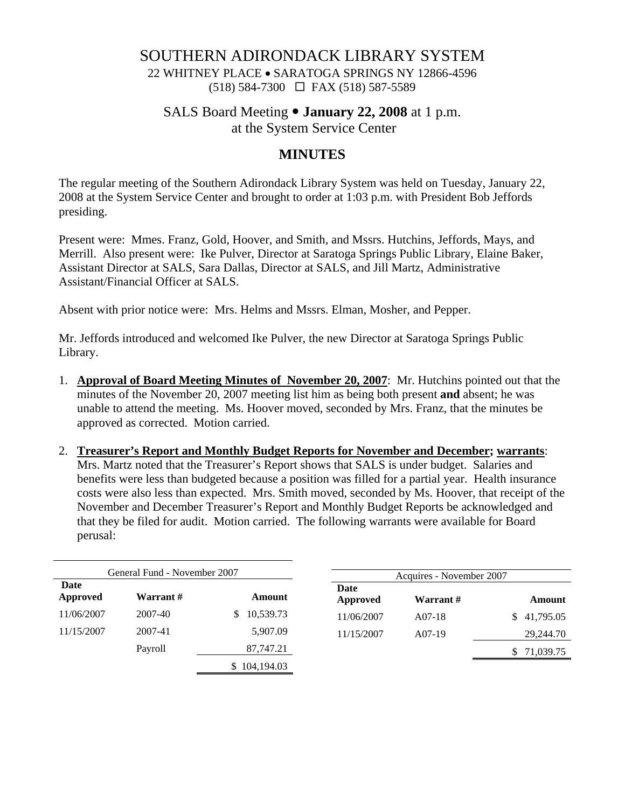## SOUTHERN ADIRONDACK LIBRARY SYSTEM

22 WHITNEY PLACE • SARATOGA SPRINGS NY 12866-4596 (518) 584-7300 FAX (518) 587-5589

#### SALS Board Meeting  $\bullet$  **January 22, 2008** at 1 p.m.

at the System Service Center

## **MINUTES**

The regular meeting of the Southern Adirondack Library System was held on Tuesday, January 22, 2008 at the System Service Center and brought to order at 1:03 p.m. with President Bob Jeffords presiding.

Present were: Mmes. Franz, Gold, Hoover, and Smith, and Mssrs. Hutchins, Jeffords, Mays, and Merrill. Also present were: Ike Pulver, Director at Saratoga Springs Public Library, Elaine Baker, Assistant Director at SALS, Sara Dallas, Director at SALS, and Jill Martz, Administrative Assistant/Financial Officer at SALS.

Absent with prior notice were: Mrs. Helms and Mssrs. Elman, Mosher, and Pepper.

Mr. Jeffords introduced and welcomed Ike Pulver, the new Director at Saratoga Springs Public Library.

- 1. **Approval of Board Meeting Minutes of November 20, 2007**: Mr. Hutchins pointed out that the minutes of the November 20, 2007 meeting list him as being both present **and** absent; he was unable to attend the meeting. Ms. Hoover moved, seconded by Mrs. Franz, that the minutes be approved as corrected. Motion carried.
- 2. **Treasurer's Report and Monthly Budget Reports for November and December; warrants**: Mrs. Martz noted that the Treasurer's Report shows that SALS is under budget. Salaries and benefits were less than budgeted because a position was filled for a partial year. Health insurance costs were also less than expected. Mrs. Smith moved, seconded by Ms. Hoover, that receipt of the November and December Treasurer's Report and Monthly Budget Reports be acknowledged and that they be filed for audit. Motion carried. The following warrants were available for Board perusal:

| General Fund - November 2007 |           |                 | Acquires - November 2007 |           |                 |
|------------------------------|-----------|-----------------|--------------------------|-----------|-----------------|
| Date<br>Approved             | Warrant # | Amount          | Date<br>Approved         | Warrant # | Amount          |
| 11/06/2007                   | 2007-40   | 10,539.73<br>S. | 11/06/2007               | $A07-18$  | 41,795.05<br>\$ |
| 11/15/2007                   | 2007-41   | 5,907.09        | 11/15/2007               | $A07-19$  | 29,244.70       |
|                              | Payroll   | 87,747.21       |                          |           | 71,039.75       |
|                              |           | \$104,194.03    |                          |           |                 |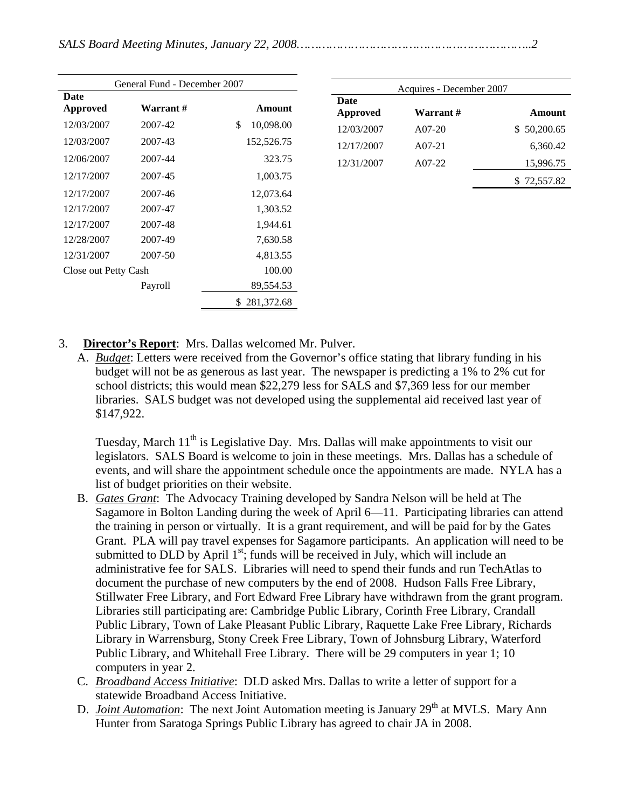| General Fund - December 2007 |           |                 |  |  |  |
|------------------------------|-----------|-----------------|--|--|--|
| Date<br>Approved             | Warrant # | Amount          |  |  |  |
| 12/03/2007                   | 2007-42   | \$<br>10,098.00 |  |  |  |
| 12/03/2007                   | 2007-43   | 152,526.75      |  |  |  |
| 12/06/2007                   | 2007-44   | 323.75          |  |  |  |
| 12/17/2007                   | 2007-45   | 1,003.75        |  |  |  |
| 12/17/2007                   | 2007-46   | 12,073.64       |  |  |  |
| 12/17/2007                   | 2007-47   | 1,303.52        |  |  |  |
| 12/17/2007                   | 2007-48   | 1,944.61        |  |  |  |
| 12/28/2007                   | 2007-49   | 7,630.58        |  |  |  |
| 12/31/2007                   | 2007-50   | 4,813.55        |  |  |  |
| Close out Petty Cash         |           | 100.00          |  |  |  |
|                              | Payroll   | 89,554.53       |  |  |  |
|                              |           | \$281,372.68    |  |  |  |

| Acquires - December 2007       |          |             |  |  |  |  |  |
|--------------------------------|----------|-------------|--|--|--|--|--|
| <b>Date</b><br><b>Approved</b> | Warrant# | Amount      |  |  |  |  |  |
| 12/03/2007                     | $A07-20$ | \$50,200.65 |  |  |  |  |  |
| 12/17/2007                     | $A07-21$ | 6,360.42    |  |  |  |  |  |
| 12/31/2007                     | $A07-22$ | 15,996.75   |  |  |  |  |  |
|                                |          | \$72,557.82 |  |  |  |  |  |

- 3. **Director's Report**: Mrs. Dallas welcomed Mr. Pulver.
	- A. *Budget*: Letters were received from the Governor's office stating that library funding in his budget will not be as generous as last year. The newspaper is predicting a 1% to 2% cut for school districts; this would mean \$22,279 less for SALS and \$7,369 less for our member libraries. SALS budget was not developed using the supplemental aid received last year of \$147,922.

Tuesday, March  $11<sup>th</sup>$  is Legislative Day. Mrs. Dallas will make appointments to visit our legislators. SALS Board is welcome to join in these meetings. Mrs. Dallas has a schedule of events, and will share the appointment schedule once the appointments are made. NYLA has a list of budget priorities on their website.

- B. *Gates Grant*: The Advocacy Training developed by Sandra Nelson will be held at The Sagamore in Bolton Landing during the week of April 6—11. Participating libraries can attend the training in person or virtually. It is a grant requirement, and will be paid for by the Gates Grant. PLA will pay travel expenses for Sagamore participants. An application will need to be submitted to DLD by April  $1<sup>st</sup>$ ; funds will be received in July, which will include an administrative fee for SALS. Libraries will need to spend their funds and run TechAtlas to document the purchase of new computers by the end of 2008. Hudson Falls Free Library, Stillwater Free Library, and Fort Edward Free Library have withdrawn from the grant program. Libraries still participating are: Cambridge Public Library, Corinth Free Library, Crandall Public Library, Town of Lake Pleasant Public Library, Raquette Lake Free Library, Richards Library in Warrensburg, Stony Creek Free Library, Town of Johnsburg Library, Waterford Public Library, and Whitehall Free Library. There will be 29 computers in year 1; 10 computers in year 2.
- C. *Broadband Access Initiative*: DLD asked Mrs. Dallas to write a letter of support for a statewide Broadband Access Initiative.
- D. *Joint Automation*: The next Joint Automation meeting is January 29<sup>th</sup> at MVLS. Mary Ann Hunter from Saratoga Springs Public Library has agreed to chair JA in 2008.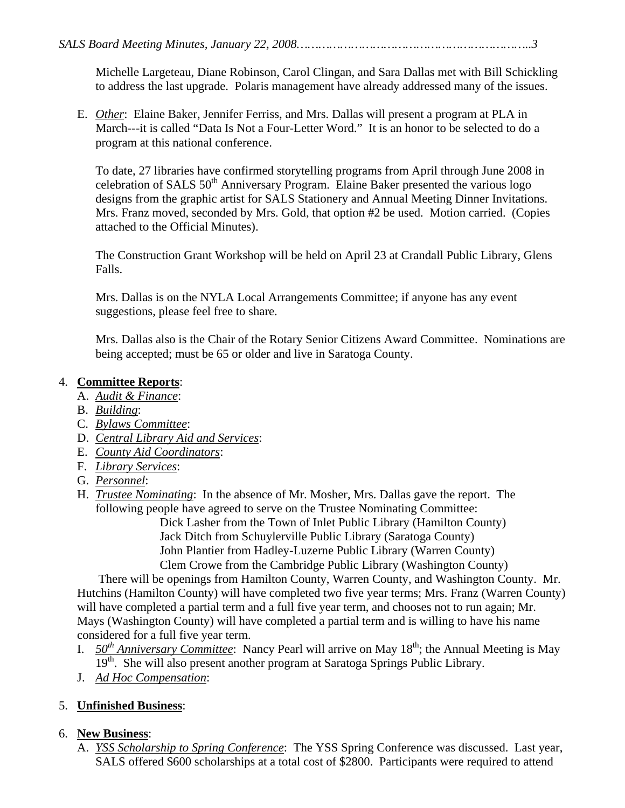Michelle Largeteau, Diane Robinson, Carol Clingan, and Sara Dallas met with Bill Schickling to address the last upgrade. Polaris management have already addressed many of the issues.

E. *Other*: Elaine Baker, Jennifer Ferriss, and Mrs. Dallas will present a program at PLA in March---it is called "Data Is Not a Four-Letter Word." It is an honor to be selected to do a program at this national conference.

To date, 27 libraries have confirmed storytelling programs from April through June 2008 in celebration of SALS 50<sup>th</sup> Anniversary Program. Elaine Baker presented the various logo designs from the graphic artist for SALS Stationery and Annual Meeting Dinner Invitations. Mrs. Franz moved, seconded by Mrs. Gold, that option #2 be used. Motion carried. (Copies attached to the Official Minutes).

The Construction Grant Workshop will be held on April 23 at Crandall Public Library, Glens Falls.

Mrs. Dallas is on the NYLA Local Arrangements Committee; if anyone has any event suggestions, please feel free to share.

Mrs. Dallas also is the Chair of the Rotary Senior Citizens Award Committee. Nominations are being accepted; must be 65 or older and live in Saratoga County.

#### 4. **Committee Reports**:

- A. *Audit & Finance*:
- B. *Building*:
- C. *Bylaws Committee*:
- D. *Central Library Aid and Services*:
- E. *County Aid Coordinators*:
- F. *Library Services*:
- G. *Personnel*:
- H. *Trustee Nominating*: In the absence of Mr. Mosher, Mrs. Dallas gave the report. The following people have agreed to serve on the Trustee Nominating Committee:

 Dick Lasher from the Town of Inlet Public Library (Hamilton County) Jack Ditch from Schuylerville Public Library (Saratoga County) John Plantier from Hadley-Luzerne Public Library (Warren County) Clem Crowe from the Cambridge Public Library (Washington County)

 There will be openings from Hamilton County, Warren County, and Washington County. Mr. Hutchins (Hamilton County) will have completed two five year terms; Mrs. Franz (Warren County) will have completed a partial term and a full five year term, and chooses not to run again; Mr. Mays (Washington County) will have completed a partial term and is willing to have his name considered for a full five year term.

- I.  $50<sup>th</sup> Anniversary Committee: Nancy Pearl will arrive on May 18<sup>th</sup>; the Annual Meeting is May$ 19<sup>th</sup>. She will also present another program at Saratoga Springs Public Library.
- J. *Ad Hoc Compensation*:

#### 5. **Unfinished Business**:

## 6. **New Business**:

A. *YSS Scholarship to Spring Conference*: The YSS Spring Conference was discussed. Last year, SALS offered \$600 scholarships at a total cost of \$2800. Participants were required to attend